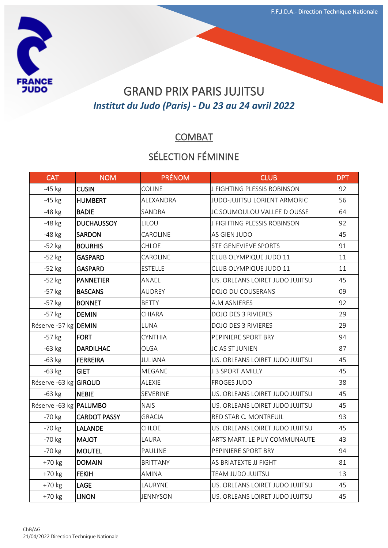

## GRAND PRIX PARIS JUJITSU *Institut du Judo (Paris) - Du 23 au 24 avril 2022*

### **COMBAT**

#### SÉLECTION FÉMININE

| <b>CAT</b>                    | <b>NOM</b>          | <b>PRÉNOM</b>   | <b>CLUB</b>                     | <b>DPT</b> |
|-------------------------------|---------------------|-----------------|---------------------------------|------------|
| $-45$ kg                      | <b>CUSIN</b>        | COLINE          | J FIGHTING PLESSIS ROBINSON     | 92         |
| $-45$ kg                      | <b>HUMBERT</b>      | ALEXANDRA       | JUDO-JUJITSU LORIENT ARMORIC    | 56         |
| $-48$ kg                      | <b>BADIE</b>        | SANDRA          | JC SOUMOULOU VALLEE D OUSSE     | 64         |
| $-48$ kg                      | <b>DUCHAUSSOY</b>   | LILOU           | J FIGHTING PLESSIS ROBINSON     | 92         |
| -48 kg                        | <b>SARDON</b>       | CAROLINE        | AS GIEN JUDO                    | 45         |
| $-52$ kg                      | <b>BOURHIS</b>      | CHLOE           | STE GENEVIEVE SPORTS            | 91         |
| $-52$ kg                      | <b>GASPARD</b>      | CAROLINE        | CLUB OLYMPIQUE JUDO 11          | 11         |
| $-52$ kg                      | GASPARD             | <b>ESTELLE</b>  | CLUB OLYMPIQUE JUDO 11          | 11         |
| $-52$ kg                      | <b>PANNETIER</b>    | ANAEL           | US. ORLEANS LOIRET JUDO JUJITSU | 45         |
| $-57$ kg                      | <b>BASCANS</b>      | <b>AUDREY</b>   | DOJO DU COUSERANS               | 09         |
| $-57$ kg                      | <b>BONNET</b>       | <b>BETTY</b>    | A.M ASNIERES                    | 92         |
| $-57$ kg                      | <b>DEMIN</b>        | CHIARA          | <b>DOJO DES 3 RIVIERES</b>      | 29         |
| Réserve -57 kg DEMIN          |                     | LUNA            | <b>DOJO DES 3 RIVIERES</b>      | 29         |
| $-57$ kg                      | <b>FORT</b>         | <b>CYNTHIA</b>  | PEPINIERE SPORT BRY             | 94         |
| $-63$ kg                      | <b>DARDILHAC</b>    | OLGA            | JC AS ST JUNIEN                 | 87         |
| $-63$ kg                      | FERREIRA            | JULIANA         | US. ORLEANS LOIRET JUDO JUJITSU | 45         |
| $-63$ kg                      | <b>GIET</b>         | <b>MEGANE</b>   | J 3 SPORT AMILLY                | 45         |
| Réserve -63 kg GIROUD         |                     | <b>ALEXIE</b>   | <b>FROGES JUDO</b>              | 38         |
| $-63$ kg                      | NEBIE               | <b>SEVERINE</b> | US. ORLEANS LOIRET JUDO JUJITSU | 45         |
| Réserve -63 kg <b>PALUMBO</b> |                     | <b>NAIS</b>     | US. ORLEANS LOIRET JUDO JUJITSU | 45         |
| $-70$ kg                      | <b>CARDOT PASSY</b> | <b>GRACIA</b>   | RED STAR C. MONTREUIL           | 93         |
| $-70$ kg                      | <b>LALANDE</b>      | CHLOE           | US. ORLEANS LOIRET JUDO JUJITSU | 45         |
| -70 kg                        | <b>MAJOT</b>        | LAURA           | ARTS MART. LE PUY COMMUNAUTE    | 43         |
| -70 kg                        | <b>MOUTEL</b>       | PAULINE         | PEPINIERE SPORT BRY             | 94         |
| $+70$ kg                      | <b>DOMAIN</b>       | <b>BRITTANY</b> | AS BRIATEXTE JJ FIGHT           | 81         |
| +70 kg                        | <b>FEKIH</b>        | <b>AMINA</b>    | TEAM JUDO JUJITSU               | 13         |
| +70 kg                        | LAGE                | LAURYNE         | US. ORLEANS LOIRET JUDO JUJITSU | 45         |
| $+70$ kg                      | <b>LINON</b>        | <b>JENNYSON</b> | US. ORLEANS LOIRET JUDO JUJITSU | 45         |